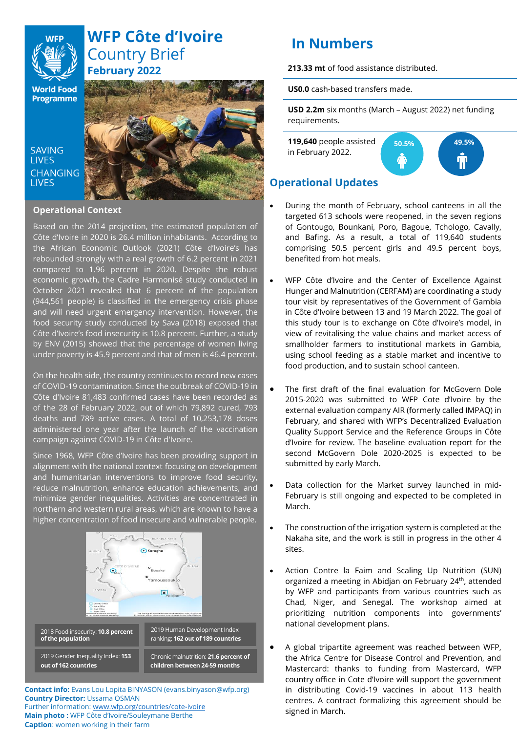

# **WFP Côte d'Ivoire** Country Brief **February 2022**

**World Food Programme** 

**SAVING LIVES CHANGING LIVES** 



#### **Operational Context**

Based on the 2014 projection, the estimated population of Côte d'Ivoire in 2020 is 26.4 million inhabitants. According to the African Economic Outlook (2021) Côte d'Ivoire's has rebounded strongly with a real growth of 6.2 percent in 2021 compared to 1.96 percent in 2020. Despite the robust economic growth, the Cadre Harmonisé study conducted in October 2021 revealed that 6 percent of the population (944,561 people) is classified in the emergency crisis phase and will need urgent emergency intervention. However, the food security study conducted by Sava (2018) exposed that Côte d'Ivoire's food insecurity is 10.8 percent. Further, a study by ENV (2015) showed that the percentage of women living under poverty is 45.9 percent and that of men is 46.4 percent.

On the health side, the country continues to record new cases of COVID-19 contamination. Since the outbreak of COVID-19 in Côte d'Ivoire 81,483 confirmed cases have been recorded as of the 28 of February 2022, out of which 79,892 cured, 793 deaths and 789 active cases. A total of 10,253,178 doses administered one year after the launch of the vaccination campaign against COVID-19 in Côte d'Ivoire.

Since 1968, WFP Côte d'Ivoire has been providing support in alignment with the national context focusing on development and humanitarian interventions to improve food security, reduce malnutrition, enhance education achievements, and minimize gender inequalities. Activities are concentrated in northern and western rural areas, which are known to have a higher concentration of food insecure and vulnerable people.



**Contact info:** Evans Lou Lopita BINYASON (evans.binyason@wfp.org) **Country Director:** Ussama OSMAN Further information[: www.wfp.org/countries/cote-ivoire](http://www.wfp.org/countries/cote-ivoire) **Main photo :** WFP Côte d'Ivoire/Souleymane Berthe **Caption**: women working in their farm

# **In Numbers**

**213.33 mt** of food assistance distributed.

**US0.0** cash-based transfers made.

**USD 2.2m** six months (March – August 2022) net funding requirements.

**119,640** people assisted in February 2022.



# **Operational Updates**

- During the month of February, school canteens in all the targeted 613 schools were reopened, in the seven regions of Gontougo, Bounkani, Poro, Bagoue, Tchologo, Cavally, and Bafing. As a result, a total of 119,640 students comprising 50.5 percent girls and 49.5 percent boys, benefited from hot meals.
- WFP Côte d'Ivoire and the Center of Excellence Against Hunger and Malnutrition (CERFAM) are coordinating a study tour visit by representatives of the Government of Gambia in Côte d'Ivoire between 13 and 19 March 2022. The goal of this study tour is to exchange on Côte d'Ivoire's model, in view of revitalising the value chains and market access of smallholder farmers to institutional markets in Gambia, using school feeding as a stable market and incentive to food production, and to sustain school canteen.
- The first draft of the final evaluation for McGovern Dole 2015-2020 was submitted to WFP Cote d'Ivoire by the external evaluation company AIR (formerly called IMPAQ) in February, and shared with WFP's Decentralized Evaluation Quality Support Service and the Reference Groups in Côte d'Ivoire for review. The baseline evaluation report for the second McGovern Dole 2020-2025 is expected to be submitted by early March.
- Data collection for the Market survey launched in mid-February is still ongoing and expected to be completed in March.
- The construction of the irrigation system is completed at the Nakaha site, and the work is still in progress in the other 4 sites.
- Action Contre la Faim and Scaling Up Nutrition (SUN) organized a meeting in Abidjan on February 24th , attended by WFP and participants from various countries such as Chad, Niger, and Senegal. The workshop aimed at prioritizing nutrition components into governments' national development plans.
- A global tripartite agreement was reached between WFP, the Africa Centre for Disease Control and Prevention, and Mastercard: thanks to funding from Mastercard, WFP country office in Cote d'Ivoire will support the government in distributing Covid-19 vaccines in about 113 health centres. A contract formalizing this agreement should be signed in March.